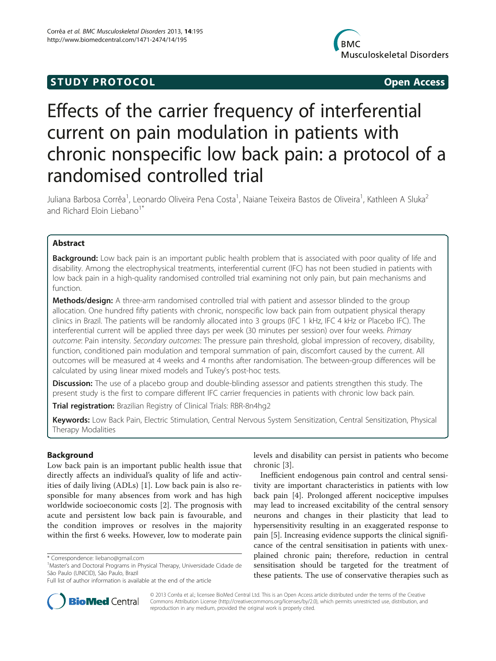# **STUDY PROTOCOL** CONTROL CONTROL CONTROL CONTROL CONTROL CONTROL CONTROL CONTROL CONTROL CONTROL CONTROL CONTROL CONTROL CONTROL CONTROL CONTROL CONTROL CONTROL CONTROL CONTROL CONTROL CONTROL CONTROL CONTROL CONTROL CONTR



# Effects of the carrier frequency of interferential current on pain modulation in patients with chronic nonspecific low back pain: a protocol of a randomised controlled trial

Juliana Barbosa Corrêa<sup>1</sup>, Leonardo Oliveira Pena Costa<sup>1</sup>, Naiane Teixeira Bastos de Oliveira<sup>1</sup>, Kathleen A Sluka<sup>2</sup> and Richard Eloin Liebano<sup>1\*</sup>

# Abstract

Background: Low back pain is an important public health problem that is associated with poor quality of life and disability. Among the electrophysical treatments, interferential current (IFC) has not been studied in patients with low back pain in a high-quality randomised controlled trial examining not only pain, but pain mechanisms and function.

Methods/design: A three-arm randomised controlled trial with patient and assessor blinded to the group allocation. One hundred fifty patients with chronic, nonspecific low back pain from outpatient physical therapy clinics in Brazil. The patients will be randomly allocated into 3 groups (IFC 1 kHz, IFC 4 kHz or Placebo IFC). The interferential current will be applied three days per week (30 minutes per session) over four weeks. Primary outcome: Pain intensity. Secondary outcomes: The pressure pain threshold, global impression of recovery, disability, function, conditioned pain modulation and temporal summation of pain, discomfort caused by the current. All outcomes will be measured at 4 weeks and 4 months after randomisation. The between-group differences will be calculated by using linear mixed models and Tukey's post-hoc tests.

**Discussion:** The use of a placebo group and double-blinding assessor and patients strengthen this study. The present study is the first to compare different IFC carrier frequencies in patients with chronic low back pain.

**Trial registration:** Brazilian Registry of Clinical Trials: [RBR-8n4hg2](http://www.ensaiosclinicos.gov.br/rg/RBR-8n4hg2/)

Keywords: Low Back Pain, Electric Stimulation, Central Nervous System Sensitization, Central Sensitization, Physical Therapy Modalities

# Background

Low back pain is an important public health issue that directly affects an individual's quality of life and activities of daily living (ADLs) [[1\]](#page-5-0). Low back pain is also responsible for many absences from work and has high worldwide socioeconomic costs [[2\]](#page-5-0). The prognosis with acute and persistent low back pain is favourable, and the condition improves or resolves in the majority within the first 6 weeks. However, low to moderate pain

levels and disability can persist in patients who become chronic [\[3](#page-5-0)].

Inefficient endogenous pain control and central sensitivity are important characteristics in patients with low back pain [\[4\]](#page-5-0). Prolonged afferent nociceptive impulses may lead to increased excitability of the central sensory neurons and changes in their plasticity that lead to hypersensitivity resulting in an exaggerated response to pain [\[5](#page-5-0)]. Increasing evidence supports the clinical significance of the central sensitisation in patients with unexplained chronic pain; therefore, reduction in central sensitisation should be targeted for the treatment of these patients. The use of conservative therapies such as



© 2013 Corrêa et al.; licensee BioMed Central Ltd. This is an Open Access article distributed under the terms of the Creative Commons Attribution License [\(http://creativecommons.org/licenses/by/2.0\)](http://creativecommons.org/licenses/by/2.0), which permits unrestricted use, distribution, and reproduction in any medium, provided the original work is properly cited.

<sup>\*</sup> Correspondence: [liebano@gmail.com](mailto:liebano@gmail.com) <sup>1</sup>

<sup>&</sup>lt;sup>1</sup>Master's and Doctoral Programs in Physical Therapy, Universidade Cidade de São Paulo (UNICID), São Paulo, Brazil

Full list of author information is available at the end of the article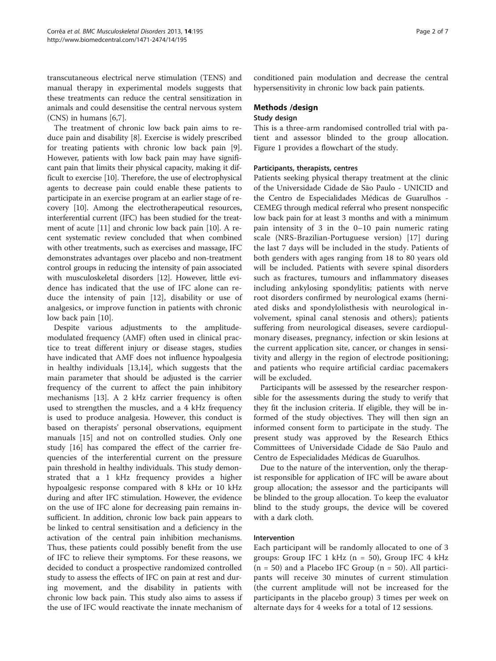transcutaneous electrical nerve stimulation (TENS) and manual therapy in experimental models suggests that these treatments can reduce the central sensitization in animals and could desensitise the central nervous system (CNS) in humans [[6,7\]](#page-5-0).

The treatment of chronic low back pain aims to reduce pain and disability [\[8\]](#page-5-0). Exercise is widely prescribed for treating patients with chronic low back pain [\[9](#page-5-0)]. However, patients with low back pain may have significant pain that limits their physical capacity, making it difficult to exercise [\[10\]](#page-5-0). Therefore, the use of electrophysical agents to decrease pain could enable these patients to participate in an exercise program at an earlier stage of recovery [\[10](#page-5-0)]. Among the electrotherapeutical resources, interferential current (IFC) has been studied for the treatment of acute [[11](#page-5-0)] and chronic low back pain [[10](#page-5-0)]. A recent systematic review concluded that when combined with other treatments, such as exercises and massage, IFC demonstrates advantages over placebo and non-treatment control groups in reducing the intensity of pain associated with musculoskeletal disorders [[12](#page-5-0)]. However, little evidence has indicated that the use of IFC alone can reduce the intensity of pain [[12\]](#page-5-0), disability or use of analgesics, or improve function in patients with chronic low back pain [[10\]](#page-5-0).

Despite various adjustments to the amplitudemodulated frequency (AMF) often used in clinical practice to treat different injury or disease stages, studies have indicated that AMF does not influence hypoalgesia in healthy individuals [\[13,14](#page-5-0)], which suggests that the main parameter that should be adjusted is the carrier frequency of the current to affect the pain inhibitory mechanisms [[13](#page-5-0)]. A 2 kHz carrier frequency is often used to strengthen the muscles, and a 4 kHz frequency is used to produce analgesia. However, this conduct is based on therapists' personal observations, equipment manuals [[15](#page-5-0)] and not on controlled studies. Only one study [[16](#page-5-0)] has compared the effect of the carrier frequencies of the interferential current on the pressure pain threshold in healthy individuals. This study demonstrated that a 1 kHz frequency provides a higher hypoalgesic response compared with 8 kHz or 10 kHz during and after IFC stimulation. However, the evidence on the use of IFC alone for decreasing pain remains insufficient. In addition, chronic low back pain appears to be linked to central sensitisation and a deficiency in the activation of the central pain inhibition mechanisms. Thus, these patients could possibly benefit from the use of IFC to relieve their symptoms. For these reasons, we decided to conduct a prospective randomized controlled study to assess the effects of IFC on pain at rest and during movement, and the disability in patients with chronic low back pain. This study also aims to assess if the use of IFC would reactivate the innate mechanism of conditioned pain modulation and decrease the central hypersensitivity in chronic low back pain patients.

## Methods /design Study design

This is a three-arm randomised controlled trial with patient and assessor blinded to the group allocation. Figure [1](#page-2-0) provides a flowchart of the study.

#### Participants, therapists, centres

Patients seeking physical therapy treatment at the clinic of the Universidade Cidade de São Paulo - UNICID and the Centro de Especialidades Médicas de Guarulhos - CEMEG through medical referral who present nonspecific low back pain for at least 3 months and with a minimum pain intensity of 3 in the 0–10 pain numeric rating scale (NRS-Brazilian-Portuguese version) [[17\]](#page-5-0) during the last 7 days will be included in the study. Patients of both genders with ages ranging from 18 to 80 years old will be included. Patients with severe spinal disorders such as fractures, tumours and inflammatory diseases including ankylosing spondylitis; patients with nerve root disorders confirmed by neurological exams (herniated disks and spondylolisthesis with neurological involvement, spinal canal stenosis and others); patients suffering from neurological diseases, severe cardiopulmonary diseases, pregnancy, infection or skin lesions at the current application site, cancer, or changes in sensitivity and allergy in the region of electrode positioning; and patients who require artificial cardiac pacemakers will be excluded.

Participants will be assessed by the researcher responsible for the assessments during the study to verify that they fit the inclusion criteria. If eligible, they will be informed of the study objectives. They will then sign an informed consent form to participate in the study. The present study was approved by the Research Ethics Committees of Universidade Cidade de São Paulo and Centro de Especialidades Médicas de Guarulhos.

Due to the nature of the intervention, only the therapist responsible for application of IFC will be aware about group allocation; the assessor and the participants will be blinded to the group allocation. To keep the evaluator blind to the study groups, the device will be covered with a dark cloth.

#### Intervention

Each participant will be randomly allocated to one of 3 groups: Group IFC 1 kHz (n = 50), Group IFC 4 kHz  $(n = 50)$  and a Placebo IFC Group  $(n = 50)$ . All participants will receive 30 minutes of current stimulation (the current amplitude will not be increased for the participants in the placebo group) 3 times per week on alternate days for 4 weeks for a total of 12 sessions.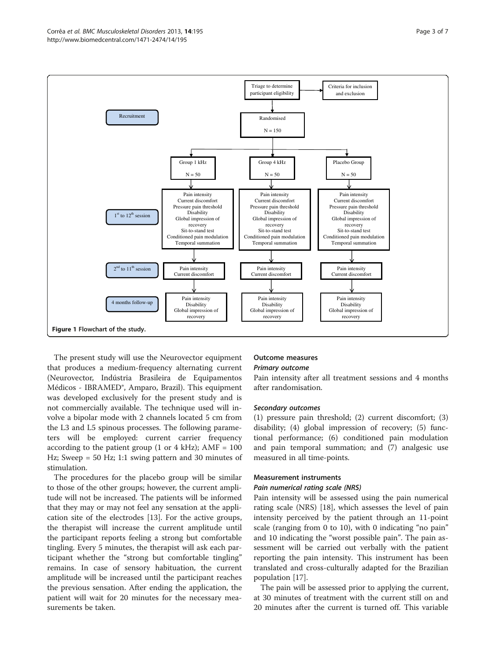<span id="page-2-0"></span>

The present study will use the Neurovector equipment that produces a medium-frequency alternating current (Neurovector, Indústria Brasileira de Equipamentos Médicos - IBRAMED®, Amparo, Brazil). This equipment was developed exclusively for the present study and is not commercially available. The technique used will involve a bipolar mode with 2 channels located 5 cm from the L3 and L5 spinous processes. The following parameters will be employed: current carrier frequency according to the patient group (1 or 4 kHz);  $AMF = 100$ Hz; Sweep = 50 Hz; 1:1 swing pattern and 30 minutes of stimulation.

The procedures for the placebo group will be similar to those of the other groups; however, the current amplitude will not be increased. The patients will be informed that they may or may not feel any sensation at the application site of the electrodes [[13\]](#page-5-0). For the active groups, the therapist will increase the current amplitude until the participant reports feeling a strong but comfortable tingling. Every 5 minutes, the therapist will ask each participant whether the "strong but comfortable tingling" remains. In case of sensory habituation, the current amplitude will be increased until the participant reaches the previous sensation. After ending the application, the patient will wait for 20 minutes for the necessary measurements be taken.

# Outcome measures

# Primary outcome

Pain intensity after all treatment sessions and 4 months after randomisation.

#### Secondary outcomes

(1) pressure pain threshold; (2) current discomfort; (3) disability; (4) global impression of recovery; (5) functional performance; (6) conditioned pain modulation and pain temporal summation; and (7) analgesic use measured in all time-points.

#### Measurement instruments

#### Pain numerical rating scale (NRS)

Pain intensity will be assessed using the pain numerical rating scale (NRS) [\[18](#page-5-0)], which assesses the level of pain intensity perceived by the patient through an 11-point scale (ranging from 0 to 10), with 0 indicating "no pain" and 10 indicating the "worst possible pain". The pain assessment will be carried out verbally with the patient reporting the pain intensity. This instrument has been translated and cross-culturally adapted for the Brazilian population [[17\]](#page-5-0).

The pain will be assessed prior to applying the current, at 30 minutes of treatment with the current still on and 20 minutes after the current is turned off. This variable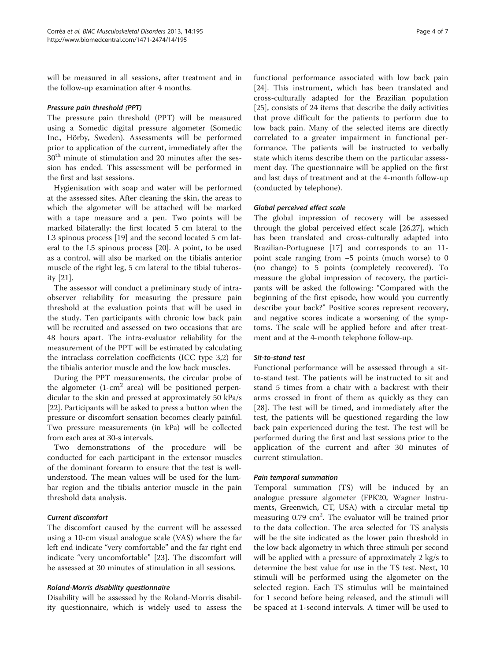will be measured in all sessions, after treatment and in the follow-up examination after 4 months.

#### Pressure pain threshold (PPT)

The pressure pain threshold (PPT) will be measured using a Somedic digital pressure algometer (Somedic Inc., Hörby, Sweden). Assessments will be performed prior to application of the current, immediately after the 30<sup>th</sup> minute of stimulation and 20 minutes after the session has ended. This assessment will be performed in the first and last sessions.

Hygienisation with soap and water will be performed at the assessed sites. After cleaning the skin, the areas to which the algometer will be attached will be marked with a tape measure and a pen. Two points will be marked bilaterally: the first located 5 cm lateral to the L3 spinous process [[19](#page-5-0)] and the second located 5 cm lateral to the L5 spinous process [[20\]](#page-5-0). A point, to be used as a control, will also be marked on the tibialis anterior muscle of the right leg, 5 cm lateral to the tibial tuberosity [[21\]](#page-5-0).

The assessor will conduct a preliminary study of intraobserver reliability for measuring the pressure pain threshold at the evaluation points that will be used in the study. Ten participants with chronic low back pain will be recruited and assessed on two occasions that are 48 hours apart. The intra-evaluator reliability for the measurement of the PPT will be estimated by calculating the intraclass correlation coefficients (ICC type 3,2) for the tibialis anterior muscle and the low back muscles.

During the PPT measurements, the circular probe of the algometer  $(1-cm^2 \text{ area})$  will be positioned perpendicular to the skin and pressed at approximately 50 kPa/s [[22](#page-5-0)]. Participants will be asked to press a button when the pressure or discomfort sensation becomes clearly painful. Two pressure measurements (in kPa) will be collected from each area at 30-s intervals.

Two demonstrations of the procedure will be conducted for each participant in the extensor muscles of the dominant forearm to ensure that the test is wellunderstood. The mean values will be used for the lumbar region and the tibialis anterior muscle in the pain threshold data analysis.

## Current discomfort

The discomfort caused by the current will be assessed using a 10-cm visual analogue scale (VAS) where the far left end indicate "very comfortable" and the far right end indicate "very uncomfortable" [\[23](#page-5-0)]. The discomfort will be assessed at 30 minutes of stimulation in all sessions.

#### Roland-Morris disability questionnaire

Disability will be assessed by the Roland-Morris disability questionnaire, which is widely used to assess the

functional performance associated with low back pain [[24\]](#page-5-0). This instrument, which has been translated and cross-culturally adapted for the Brazilian population [[25\]](#page-5-0), consists of 24 items that describe the daily activities that prove difficult for the patients to perform due to low back pain. Many of the selected items are directly correlated to a greater impairment in functional performance. The patients will be instructed to verbally state which items describe them on the particular assessment day. The questionnaire will be applied on the first and last days of treatment and at the 4-month follow-up (conducted by telephone).

#### Global perceived effect scale

The global impression of recovery will be assessed through the global perceived effect scale [[26,27\]](#page-5-0), which has been translated and cross-culturally adapted into Brazilian-Portuguese [[17](#page-5-0)] and corresponds to an 11 point scale ranging from −5 points (much worse) to 0 (no change) to 5 points (completely recovered). To measure the global impression of recovery, the participants will be asked the following: "Compared with the beginning of the first episode, how would you currently describe your back?" Positive scores represent recovery, and negative scores indicate a worsening of the symptoms. The scale will be applied before and after treatment and at the 4-month telephone follow-up.

#### Sit-to-stand test

Functional performance will be assessed through a sitto-stand test. The patients will be instructed to sit and stand 5 times from a chair with a backrest with their arms crossed in front of them as quickly as they can [[28\]](#page-5-0). The test will be timed, and immediately after the test, the patients will be questioned regarding the low back pain experienced during the test. The test will be performed during the first and last sessions prior to the application of the current and after 30 minutes of current stimulation.

#### Pain temporal summation

Temporal summation (TS) will be induced by an analogue pressure algometer (FPK20, Wagner Instruments, Greenwich, CT, USA) with a circular metal tip measuring 0.79 cm<sup>2</sup>. The evaluator will be trained prior to the data collection. The area selected for TS analysis will be the site indicated as the lower pain threshold in the low back algometry in which three stimuli per second will be applied with a pressure of approximately 2 kg/s to determine the best value for use in the TS test. Next, 10 stimuli will be performed using the algometer on the selected region. Each TS stimulus will be maintained for 1 second before being released, and the stimuli will be spaced at 1-second intervals. A timer will be used to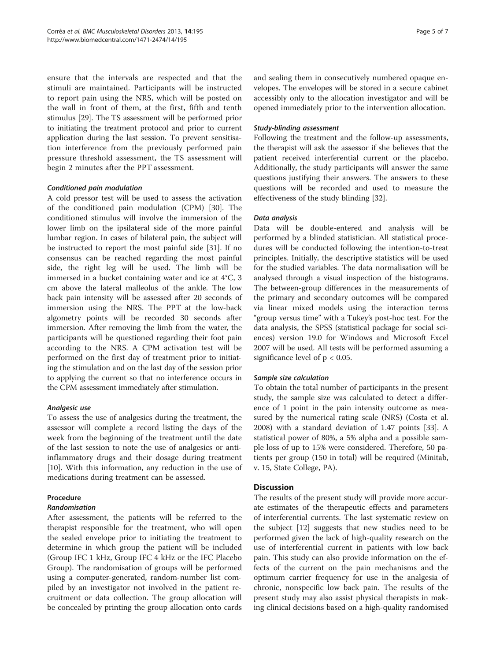ensure that the intervals are respected and that the stimuli are maintained. Participants will be instructed to report pain using the NRS, which will be posted on the wall in front of them, at the first, fifth and tenth stimulus [[29\]](#page-6-0). The TS assessment will be performed prior to initiating the treatment protocol and prior to current application during the last session. To prevent sensitisation interference from the previously performed pain pressure threshold assessment, the TS assessment will begin 2 minutes after the PPT assessment.

#### Conditioned pain modulation

A cold pressor test will be used to assess the activation of the conditioned pain modulation (CPM) [[30\]](#page-6-0). The conditioned stimulus will involve the immersion of the lower limb on the ipsilateral side of the more painful lumbar region. In cases of bilateral pain, the subject will be instructed to report the most painful side [\[31](#page-6-0)]. If no consensus can be reached regarding the most painful side, the right leg will be used. The limb will be immersed in a bucket containing water and ice at 4°C, 3 cm above the lateral malleolus of the ankle. The low back pain intensity will be assessed after 20 seconds of immersion using the NRS. The PPT at the low-back algometry points will be recorded 30 seconds after immersion. After removing the limb from the water, the participants will be questioned regarding their foot pain according to the NRS. A CPM activation test will be performed on the first day of treatment prior to initiating the stimulation and on the last day of the session prior to applying the current so that no interference occurs in the CPM assessment immediately after stimulation.

## Analgesic use

To assess the use of analgesics during the treatment, the assessor will complete a record listing the days of the week from the beginning of the treatment until the date of the last session to note the use of analgesics or antiinflammatory drugs and their dosage during treatment [[10\]](#page-5-0). With this information, any reduction in the use of medications during treatment can be assessed.

# Procedure

## Randomisation

After assessment, the patients will be referred to the therapist responsible for the treatment, who will open the sealed envelope prior to initiating the treatment to determine in which group the patient will be included (Group IFC 1 kHz, Group IFC 4 kHz or the IFC Placebo Group). The randomisation of groups will be performed using a computer-generated, random-number list compiled by an investigator not involved in the patient recruitment or data collection. The group allocation will be concealed by printing the group allocation onto cards and sealing them in consecutively numbered opaque envelopes. The envelopes will be stored in a secure cabinet accessibly only to the allocation investigator and will be opened immediately prior to the intervention allocation.

## Study-blinding assessment

Following the treatment and the follow-up assessments, the therapist will ask the assessor if she believes that the patient received interferential current or the placebo. Additionally, the study participants will answer the same questions justifying their answers. The answers to these questions will be recorded and used to measure the effectiveness of the study blinding [[32\]](#page-6-0).

## Data analysis

Data will be double-entered and analysis will be performed by a blinded statistician. All statistical procedures will be conducted following the intention-to-treat principles. Initially, the descriptive statistics will be used for the studied variables. The data normalisation will be analysed through a visual inspection of the histograms. The between-group differences in the measurements of the primary and secondary outcomes will be compared via linear mixed models using the interaction terms "group versus time" with a Tukey's post-hoc test. For the data analysis, the SPSS (statistical package for social sciences) version 19.0 for Windows and Microsoft Excel 2007 will be used. All tests will be performed assuming a significance level of  $p < 0.05$ .

## Sample size calculation

To obtain the total number of participants in the present study, the sample size was calculated to detect a difference of 1 point in the pain intensity outcome as measured by the numerical rating scale (NRS) (Costa et al. 2008) with a standard deviation of 1.47 points [[33\]](#page-6-0). A statistical power of 80%, a 5% alpha and a possible sample loss of up to 15% were considered. Therefore, 50 patients per group (150 in total) will be required (Minitab, v. 15, State College, PA).

# **Discussion**

The results of the present study will provide more accurate estimates of the therapeutic effects and parameters of interferential currents. The last systematic review on the subject [\[12](#page-5-0)] suggests that new studies need to be performed given the lack of high-quality research on the use of interferential current in patients with low back pain. This study can also provide information on the effects of the current on the pain mechanisms and the optimum carrier frequency for use in the analgesia of chronic, nonspecific low back pain. The results of the present study may also assist physical therapists in making clinical decisions based on a high-quality randomised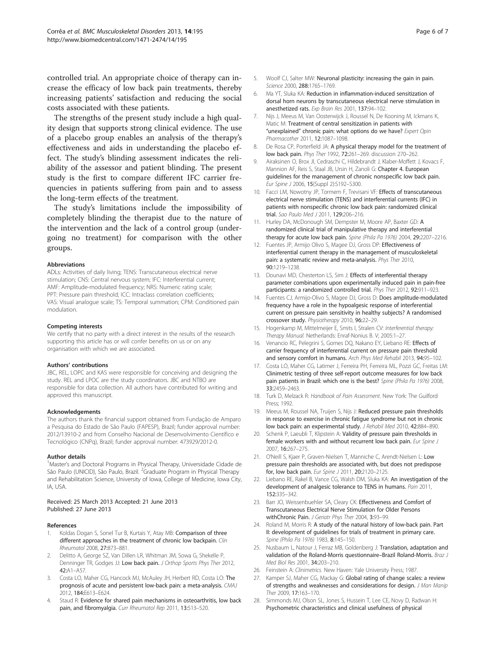<span id="page-5-0"></span>controlled trial. An appropriate choice of therapy can increase the efficacy of low back pain treatments, thereby increasing patients' satisfaction and reducing the social costs associated with these patients.

The strengths of the present study include a high quality design that supports strong clinical evidence. The use of a placebo group enables an analysis of the therapy's effectiveness and aids in understanding the placebo effect. The study's blinding assessment indicates the reliability of the assessor and patient blinding. The present study is the first to compare different IFC carrier frequencies in patients suffering from pain and to assess the long-term effects of the treatment.

The study's limitations include the impossibility of completely blinding the therapist due to the nature of the intervention and the lack of a control group (undergoing no treatment) for comparison with the other groups.

#### Abbreviations

ADLs: Activities of daily living; TENS: Transcutaneous electrical nerve stimulation; CNS: Central nervous system; IFC: Interferential current; AMF: Amplitude-modulated frequency; NRS: Numeric rating scale; PPT: Pressure pain threshold; ICC: Intraclass correlation coefficients; VAS: Visual analogue scale; TS: Temporal summation; CPM: Conditioned pain modulation.

#### Competing interests

We certify that no party with a direct interest in the results of the research supporting this article has or will confer benefits on us or on any organisation with which we are associated.

#### Authors' contributions

JBC, REL, LOPC and KAS were responsible for conceiving and designing the study. REL and LPOC are the study coordinators. JBC and NTBO are responsible for data collection. All authors have contributed for writing and approved this manuscript.

#### Acknowledgements

The authors thank the financial support obtained from Fundação de Amparo a Pesquisa do Estado de São Paulo (FAPESP), Brazil; funder approval number: 2012/13910-2 and from Conselho Nacional de Desenvolvimento Científico e Tecnológico (CNPq), Brazil; funder approval number: 473929/2012-0.

#### Author details

<sup>1</sup>Master's and Doctoral Programs in Physical Therapy, Universidade Cidade de São Paulo (UNICID), São Paulo, Brazil. <sup>2</sup> Graduate Program in Physical Therapy and Rehabilitation Science, University of Iowa, College of Medicine, Iowa City, IA, USA.

#### Received: 25 March 2013 Accepted: 21 June 2013 Published: 27 June 2013

#### References

- 1. Koldas Dogan S, Sonel Tur B, Kurtais Y, Atay MB: Comparison of three different approaches in the treatment of chronic low backpain. Clin Rheumatol 2008, 27:873–881.
- 2. Delitto A, George SZ, Van Dillen LR, Whitman JM, Sowa G, Shekelle P, Denninger TR, Godges JJ: Low back pain. J Orthop Sports Phys Ther 2012, 42:A1–A57.
- Costa LO, Maher CG, Hancock MJ, McAuley JH, Herbert RD, Costa LO: The prognosis of acute and persistent low-back pain: a meta-analysis. CMAJ 2012, 184:E613–E624.
- 4. Staud R: Evidence for shared pain mechanisms in osteoarthritis, low back pain, and fibromyalgia. Curr Rheumatol Rep 2011, 13:513-520.
- 5. Woolf CJ, Salter MW: Neuronal plasticity: increasing the gain in pain. Science 2000, 288:1765–1769.
- 6. Ma YT, Sluka KA: Reduction in inflammation-induced sensitization of dorsal horn neurons by transcutaneous electrical nerve stimulation in anesthetized rats. Exp Brain Res 2001, 137:94–102.
- 7. Nijs J, Meeus M, Van Oosterwijck J, Roussel N, De Kooning M, Ickmans K, Matic M: Treatment of central sensitization in patients with "unexplained" chronic pain: what options do we have? Expert Opin Pharmacother 2011, 12:1087–1098.
- 8. De Rosa CP, Porterfield JA: A physical therapy model for the treatment of low back pain. Phys Ther 1992, 72:261–269. discussion 270–262.
- 9. Airaksinen O, Brox JI, Cedraschi C, Hildebrandt J, Klaber-Moffett J, Kovacs F, Mannion AF, Reis S, Staal JB, Ursin H, Zanoli G: Chapter 4. European guidelines for the management of chronic nonspecific low back pain. Eur Spine J 2006, 15(Suppl 2):S192–S300.
- 10. Facci LM, Nowotny JP, Tormem F, Trevisani VF: Effects of transcutaneous electrical nerve stimulation (TENS) and interferential currents (IFC) in patients with nonspecific chronic low back pain: randomized clinical trial. Sao Paulo Med J 2011, 129:206–216.
- 11. Hurley DA, McDonough SM, Dempster M, Moore AP, Baxter GD: A randomized clinical trial of manipulative therapy and interferential therapy for acute low back pain. Spine (Phila Pa 1976) 2004, 29:2207-2216.
- 12. Fuentes JP, Armijo Olivo S, Magee DJ, Gross DP: Effectiveness of interferential current therapy in the management of musculoskeletal pain: a systematic review and meta-analysis. Phys Ther 2010, 90:1219–1238.
- 13. Dounavi MD, Chesterton LS, Sim J: Effects of interferential therapy parameter combinations upon experimentally induced pain in pain-free participants: a randomized controlled trial. Phys Ther 2012, 92:911-923.
- 14. Fuentes CJ, Armijo-Olivo S, Magee DJ, Gross D: Does amplitude-modulated frequency have a role in the hypoalgesic response of interferential current on pressure pain sensitivity in healthy subjects? A randomised crossover study. Physiotherapy 2010, 96:22–29.
- 15. Hogenkamp M, Mittelmeijer E, Smits I, Stralen CV: Interferential therapy: Therapy Manual. Netherlands: Enraf-Nonius B. V; 2005:1–27.
- 16. Venancio RC, Pelegrini S, Gomes DQ, Nakano EY, Liebano RE: Effects of carrier frequency of interferential current on pressure pain threshold and sensory comfort in humans. Arch Phys Med Rehabil 2013, 94:95–102.
- 17. Costa LO, Maher CG, Latimer J, Ferreira PH, Ferreira ML, Pozzi GC, Freitas LM: Clinimetric testing of three self-report outcome measures for low back pain patients in Brazil: which one is the best? Spine (Phila Pa 1976) 2008, 33:2459–2463.
- 18. Turk D, Melzack R: Handbook of Pain Assessment. New York: The Guilford Press; 1992.
- 19. Meeus M, Roussel NA, Truijen S, Nijs J: Reduced pressure pain thresholds in response to exercise in chronic fatigue syndrome but not in chronic low back pain: an experimental study. J Rehabil Med 2010, 42:884-890.
- 20. Schenk P, Laeubli T, Klipstein A: Validity of pressure pain thresholds in female workers with and without recurrent low back pain. Eur Spine J 2007, 16:267–275.
- 21. O'Neill S, Kjaer P, Graven-Nielsen T, Manniche C, Arendt-Nielsen L: Low pressure pain thresholds are associated with, but does not predispose for, low back pain. Eur Spine J 2011, 20:2120–2125.
- 22. Liebano RE, Rakel B, Vance CG, Walsh DM, Sluka KA: An investigation of the development of analgesic tolerance to TENS in humans. Pain 2011, 152:335–342.
- 23. Barr JO, Weissenbuehler SA, Cleary CK: Effectiveness and Comfort of Transcutaneous Electrical Nerve Stimulation for Older Persons withChronic Pain. J Geriatr Phys Ther 2004, 3:93-99.
- 24. Roland M, Morris R: A study of the natural history of low-back pain. Part II: development of guidelines for trials of treatment in primary care. Spine (Phila Pa 1976) 1983, 8:145–150.
- 25. Nusbaum L, Natour J, Ferraz MB, Goldenberg J: Translation, adaptation and validation of the Roland-Morris questionnaire–Brazil Roland-Morris. Braz J Med Biol Res 2001, 34:203–210.
- 26. Feinstein A: Clinimetrics. New Haven: Yale University Press; 1987.
- 27. Kamper SJ, Maher CG, Mackay G: Global rating of change scales: a review of strengths and weaknesses and considerations for design. J Man Manip Ther 2009, 17:163–170.
- 28. Simmonds MJ, Olson SL, Jones S, Hussein T, Lee CE, Novy D, Radwan H: Psychometric characteristics and clinical usefulness of physical